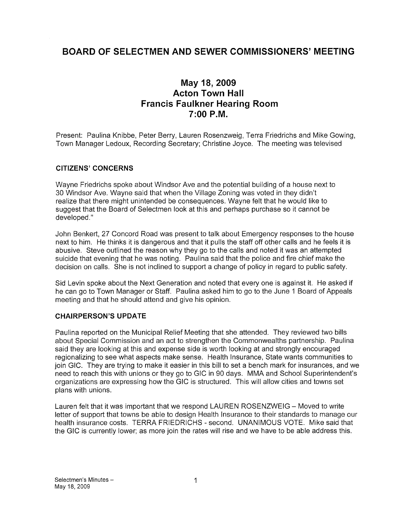# BOARD OF SELECTMEN AND SEWER COMMISSIONERS' MEETING

## May 18, 2009 Acton Town Hall Francis Faulkner Hearing Room 7:00 P.M.

Present: Paulina Knibbe, Peter Berry, Lauren Rosenzweig, Terra Friedrichs and Mike Gowing, Town Manager Ledoux, Recording Secretary; Christine Joyce. The meeting was televised

## CITIZENS' CONCERNS

Wayne Friedrichs spoke about Windsor Ave and the potential building of a house next to 30 Windsor Ave. Wayne said that when the Village Zoning was voted in they didn't realize that there might unintended be consequences. Wayne felt that he would like to suggest that the Board of Selectmen look at this and perhaps purchase so it cannot be developed."

John Benkert, 27 Concord Road was present to talk about Emergency responses to the house next to him. He thinks it is dangerous and that it pulls the staff off other calls and he feels it is abusive. Steve outlined the reason why they go to the calls and noted it was an attempted suicide that evening that he was noting. Paulina said that the police and fire chief make the decision on calls. She is not inclined to support a change of policy in regard to public safety.

Sid Levin spoke about the Next Generation and noted that every one is against it. He asked if he can go to Town Manager or Staff. Paulina asked him to go to the June <sup>1</sup> Board of Appeals meeting and that he should attend and give his opinion.

#### CHAIRPERSON'S UPDATE

Paulina reported on the Municipal Relief Meeting that she attended. They reviewed two bills about Special Commission and an act to strengthen the Commonwealths partnership. Paulina said they are looking at this and expense side is worth looking at and strongly encouraged regionalizing to see what aspects make sense. Health Insurance, State wants communities to join GIC. They are trying to make it easier in this bill to set a bench mark for insurances, and we need to reach this with unions or they go to GIC in 90 days. MMA and School Superintendent's organizations are expressing how the GIC is structured. This will allow cities and towns set plans with unions.

Lauren felt that it was important that we respond LAUREN ROSENZWEIG — Moved to write letter of support that towns be able to design Health Insurance to their standards to manage our health insurance costs. TERRA FRIEDRICHS - second. UNANIMOUS VOTE. Mike said that the GIC is currently lower; as more join the rates will rise and we have to be able address this.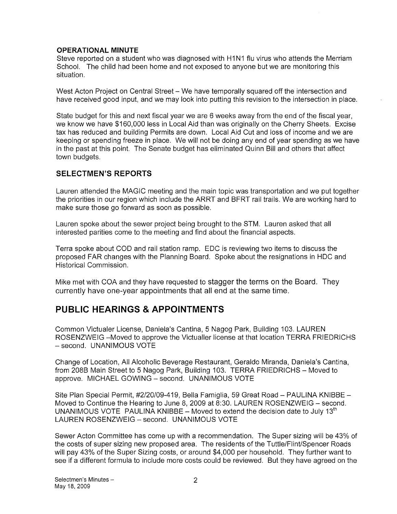#### OPERATIONAL MINUTE

Steve reported on a student who was diagnosed with H1N1 flu virus who attends the Merriam School. The child had been home and not exposed to anyone but we are monitoring this situation.

West Acton Project on Central Street — We have temporally squared off the intersection and have received good input, and we may look into putting this revision to the intersection in place.

State budget for this and next fiscal year we are 6 weeks away from the end of the fiscal year, we know we have \$160,000 less in Local Aid than was originally on the Cherry Sheets. Excise tax has reduced and building Permits are down. Local Aid Cut and loss of income and we are keeping or spending freeze in place. We will not be doing any end of year spending as we have in the past at this point. The Senate budget has eliminated Quinn Bill and others that affect town budgets.

## SELECTMEN'S REPORTS

Lauren attended the MAGIC meeting and the main topic was transportation and we put together the priorities in our region which include the ARRT and BFRT rail trails. We are working hard to make sure those go forward as soon as possible.

Lauren spoke about the sewer project being brought to the STM. Lauren asked that all interested parities come to the meeting and find about the financial aspects.

Terra spoke about COD and rail station ramp. EDC is reviewing two items to discuss the proposed FAR changes with the Planning Board. Spoke about the resignations in HDC and Historical Commission.

Mike met with COA and they have requested to stagger the terms on the Board. They currently have one-year appointments that all end at the same time.

## PUBLIC HEARINGS & APPOINTMENTS

Common Victualer License, Daniela's Cantina, 5 Nagog Park, Building 103. LAUREN ROSENZWEIG —Moved to approve the Victualler license at that location TERRA FRIEDRICHS — second. UNANIMOUS VOTE

Change of Location, All Alcoholic Beverage Restaurant, Geraldo Miranda, Daniela's Cantina, from 208B Main Street to 5 Nagog Park, Building 103. TERRA FRIEDRICHS — Moved to approve. MICHAEL GOWING — second. UNANIMOUS VOTE

Site Plan Special Permit, #2/20/09-419, Bella Famiglia, 59 Great Road — PAULINA KNIBBE — Moved to Continue the Hearing to June 8, 2009 at 8:30. LAUREN ROSENZWEIG — second. UNANIMOUS VOTE PAULINA KNIBBE – Moved to extend the decision date to July 13<sup>th</sup> LAUREN ROSENZWEIG — second. UNANIMOUS VOTE

Sewer Acton Committee has come up with a recommendation. The Super sizing will be 43% of the costs of super sizing new proposed area. The residents of the Tuttle/Flint/Spencer Roads will pay 43% of the Super Sizing costs, or around \$4,000 per household. They further want to see if a different formula to include more costs could be reviewed. But they have agreed on the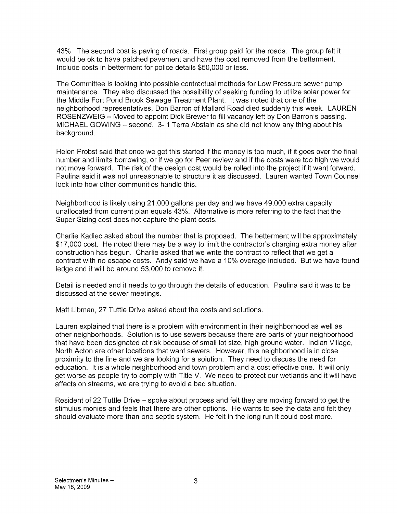43%. The second cost is paving of roads. First group paid for the roads. The group felt it would be ok to have patched pavement and have the cost removed from the betterment. Include costs in betterment for police details \$50,000 or less.

The Committee is looking into possible contractual methods for Low Pressure sewer pump maintenance. They also discussed the possibility of seeking funding to utilize solar power for the Middle Fort Pond Brook Sewage Treatment Plant. It was noted that one of the neighborhood representatives, Don Barron of Mallard Road died suddenly this week. LAUREN ROSENZWEIG — Moved to appoint Dick Brewer to fill vacancy left by Don Barron's passing. MICHAEL GOWING — second. 3- <sup>1</sup> Terra Abstain as she did not know any thing about his background.

Helen Probst said that once we get this started if the money is too much, if it goes over the final number and limits borrowing, or if we go for Peer review and if the costs were too high we would not move forward. The risk of the design cost would be rolled into the project if it went forward. Paulina said it was not unreasonable to structure it as discussed. Lauren wanted Town Counsel look into how other communities handle this.

Neighborhood is likely using 21,000 gallons per day and we have 49,000 extra capacity unallocated from current plan equals 43%. Alternative is more referring to the fact that the Super Sizing cost does not capture the plant costs.

Charlie Kadlec asked about the number that is proposed. The betterment will be approximately \$17,000 cost. He noted there may be a way to limit the contractor's charging extra money after construction has begun. Charlie asked that we write the contract to reflect that we get a contract with no escape costs. Andy said we have a 10% overage included. But we have found ledge and it will be around 53,000 to remove it.

Detail is needed and it needs to go through the details of education. Paulina said it was to be discussed at the sewer meetings.

Matt Libman, 27 Tuttle Drive asked about the costs and solutions.

Lauren explained that there is a problem with environment in their neighborhood as well as other neighborhoods. Solution is to use sewers because there are parts of your neighborhood that have been designated at risk because of small lot size, high ground water. Indian Village, North Acton are other locations that want sewers. However, this neighborhood is in close proximity to the line and we are looking for a solution. They need to discuss the need for education. It is a whole neighborhood and town problem and a cost effective one. It will only get worse as people try to comply with Title V. We need to protect our wetlands and it will have affects on streams, we are trying to avoid a bad situation.

Resident of 22 Tuttle Drive — spoke about process and felt they are moving forward to get the stimulus monies and feels that there are other options. He wants to see the data and felt they should evaluate more than one septic system. He felt in the long run it could cost more.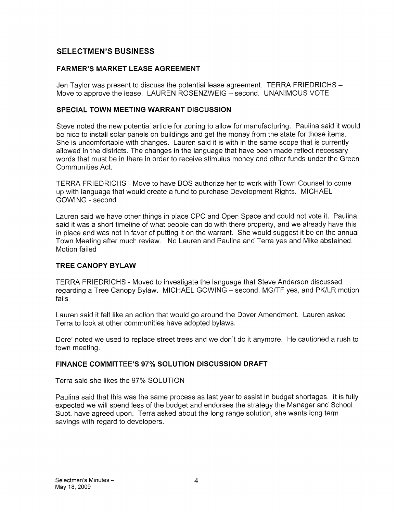## SELECTMEN'S BUSINESS

## FARMER'S MARKET LEASE AGREEMENT

Jen Taylor was present to discuss the potential lease agreement. TERRA FRIEDRICHS Move to approve the lease. LAUREN ROSENZWEIG — second. UNANIMOUS VOTE

#### SPECIAL TOWN MEETING WARRANT DISCUSSION

Steve noted the new potential article for zoning to allow for manufacturing. Paulina said it would be nice to install solar panels on buildings and get the money from the state for those items. She is uncomfortable with changes. Lauren said it is with in the same scope that is currently allowed in the districts. The changes in the language that have been made reflect necessary words that must be in there in order to receive stimulus money and other funds under the Green Communities Act.

TERRA FRIEDRICHS -Move to have BOS authorize her to work with Town Counsel to come up with language that would create a fund to purchase Development Rights. MICHAEL GOWING - second

Lauren said we have other things in place CPC and Open Space and could not vote it. Paulina said it was a short timeline of what people can do with there property, and we already have this in place and was not in favor of putting it on the warrant. She would suggest it be on the annual Town Meeting after much review. No Lauren and Paulina and Terra yes and Mike abstained. Motion failed

## TREE CANOPY BYLAW

TERRA FRIEDRICHS - Moved to investigate the language that Steve Anderson discussed regarding a Tree Canopy Bylaw. MICHAEL GOWING — second. MG/TF yes, and PK/LR motion fails

Lauren said it felt like an action that would go around the Dover Amendment. Lauren asked Terra to look at other communities have adopted bylaws.

Dore' noted we used to replace street trees and we don't do it anymore. He cautioned a rush to town meeting.

#### FINANCE COMMITTEE'S 97% SOLUTION DISCUSSION DRAFT

Terra said she likes the 97% SOLUTION

Paulina said that this was the same process as last year to assist in budget shortages. It is fully expected we will spend less of the budget and endorses the strategy the Manager and School Supt. have agreed upon. Terra asked about the long range solution, she wants long term savings with regard to developers.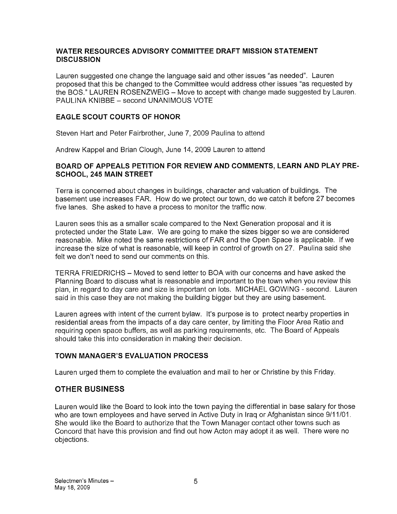#### WATER RESOURCES ADVISORY COMMITTEE DRAFT MISSION STATEMENT **DISCUSSION**

Lauren suggested one change the language said and other issues "as needed". Lauren proposed that this be changed to the Committee would address other issues "as requested by the BOS." LAUREN ROSENZWEIG — Move to accept with change made suggested by Lauren. PAULINA KNIBBE - second UNANIMOUS VOTE

## EAGLE SCOUT COURTS OF HONOR

Steven Hart and Peter Fairbrother, June 7, 2009 Paulina to attend

Andrew Kappel and Brian Clough, June 14, 2009 Lauren to attend

## BOARD OF APPEALS PETITION FOR REVIEW AND COMMENTS, LEARN AND PLAY PRE SCHOOL, 245 MAIN STREET

Terra is concerned about changes in buildings, character and valuation of buildings. The basement use increases FAR. How do we protect our town, do we catch it before 27 becomes five lanes. She asked to have a process to monitor the traffic now.

Lauren sees this as a smaller scale compared to the Next Generation proposal and it is protected under the State Law. We are going to make the sizes bigger so we are considered reasonable. Mike noted the same restrictions of FAR and the Open Space is applicable. If we increase the size of what is reasonable, will keep in control of growth on 27. Paulina said she felt we don't need to send our comments on this.

TERRA FRIEDRICHS — Moved to send letter to BOA with our concerns and have asked the Planning Board to discuss what is reasonable and important to the town when you review this plan, in regard to day care and size is important on lots. MICHAEL GOWING - second. Lauren said in this case they are not making the building bigger but they are using basement.

Lauren agrees with intent of the current bylaw. It's purpose is to protect nearby properties in residential areas from the impacts of a day care center, by limiting the Floor Area Ratio and requiring open space buffers, as well as parking requirements, etc. The Board of Appeals should take this into consideration in making their decision.

## TOWN MANAGER'S EVALUATION PROCESS

Lauren urged them to complete the evaluation and mail to her or Christine by this Friday.

## OTHER BUSINESS

Lauren would like the Board to look into the town paying the differential in base salary for those who are town employees and have served in Active Duty in Iraq or Afghanistan since 9/11/01. She would like the Board to authorize that the Town Manager contact other towns such as Concord that have this provision and find out how Acton may adopt it as well. There were no objections.